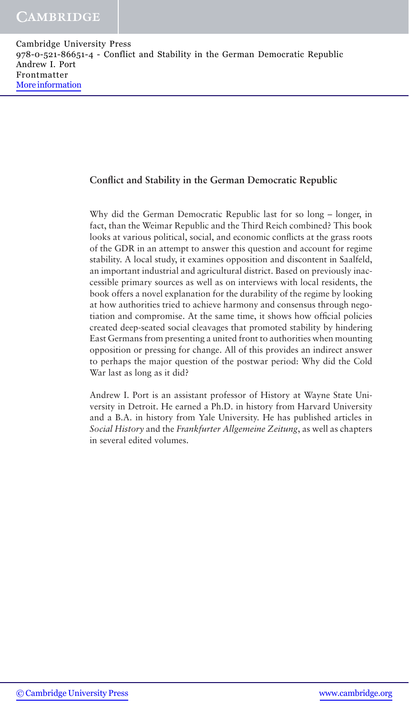#### **Conflict and Stability in the German Democratic Republic**

Why did the German Democratic Republic last for so long – longer, in fact, than the Weimar Republic and the Third Reich combined? This book looks at various political, social, and economic conflicts at the grass roots of the GDR in an attempt to answer this question and account for regime stability. A local study, it examines opposition and discontent in Saalfeld, an important industrial and agricultural district. Based on previously inaccessible primary sources as well as on interviews with local residents, the book offers a novel explanation for the durability of the regime by looking at how authorities tried to achieve harmony and consensus through negotiation and compromise. At the same time, it shows how official policies created deep-seated social cleavages that promoted stability by hindering East Germans from presenting a united front to authorities when mounting opposition or pressing for change. All of this provides an indirect answer to perhaps the major question of the postwar period: Why did the Cold War last as long as it did?

Andrew I. Port is an assistant professor of History at Wayne State University in Detroit. He earned a Ph.D. in history from Harvard University and a B.A. in history from Yale University. He has published articles in *Social History* and the *Frankfurter Allgemeine Zeitung*, as well as chapters in several edited volumes.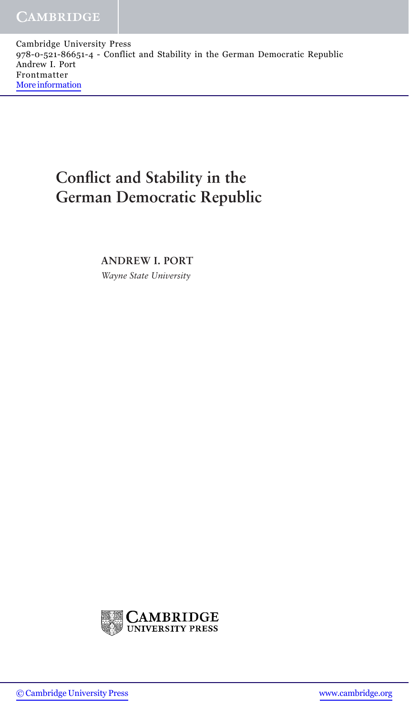# **Conflict and Stability in the German Democratic Republic**

**ANDREW I. PORT** *Wayne State University*

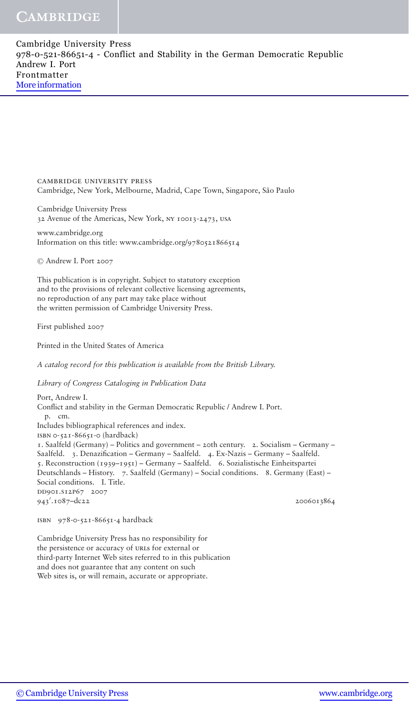| Cambridge University Press                                                   |
|------------------------------------------------------------------------------|
| 978-0-521-86651-4 - Conflict and Stability in the German Democratic Republic |
| Andrew I. Port                                                               |
| Frontmatter                                                                  |
| More information                                                             |
|                                                                              |

cambridge university press Cambridge, New York, Melbourne, Madrid, Cape Town, Singapore, São Paulo

Cambridge University Press 32 Avenue of the Americas, New York, ny 10013-2473, usa

www.cambridge.org Information on this title: www.cambridge.org/9780521866514

<sup>C</sup> Andrew I. Port 2007

This publication is in copyright. Subject to statutory exception and to the provisions of relevant collective licensing agreements, no reproduction of any part may take place without the written permission of Cambridge University Press.

First published 2007

Printed in the United States of America

*A catalog record for this publication is available from the British Library.*

*Library of Congress Cataloging in Publication Data*

Port, Andrew I. Conflict and stability in the German Democratic Republic / Andrew I. Port. p. cm. Includes bibliographical references and index. isbn 0-521-86651-0 (hardback) 1. Saalfeld (Germany) – Politics and government – 20th century. 2. Socialism – Germany – Saalfeld. 3. Denazification – Germany – Saalfeld. 4. Ex-Nazis – Germany – Saalfeld. 5. Reconstruction (1939–1951) – Germany – Saalfeld. 6. Sozialistische Einheitspartei Deutschlands – History. 7. Saalfeld (Germany) – Social conditions. 8. Germany (East) – Social conditions. I. Title. DD901.S12P67 2007  $943'$ 2006013864

isbn 978-0-521-86651-4 hardback

Cambridge University Press has no responsibility for the persistence or accuracy of URLs for external or third-party Internet Web sites referred to in this publication and does not guarantee that any content on such Web sites is, or will remain, accurate or appropriate.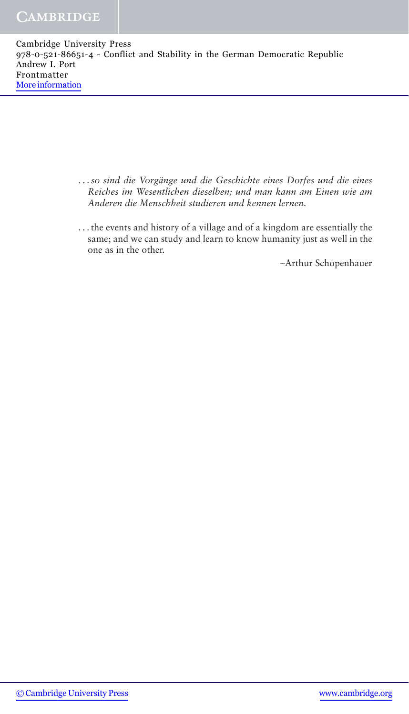- ...*so sind die Vorgange und die Geschichte eines Dorfes und die eines ¨ Reiches im Wesentlichen dieselben; und man kann am Einen wie am Anderen die Menschheit studieren und kennen lernen.*
- . . . the events and history of a village and of a kingdom are essentially the same; and we can study and learn to know humanity just as well in the one as in the other.

–Arthur Schopenhauer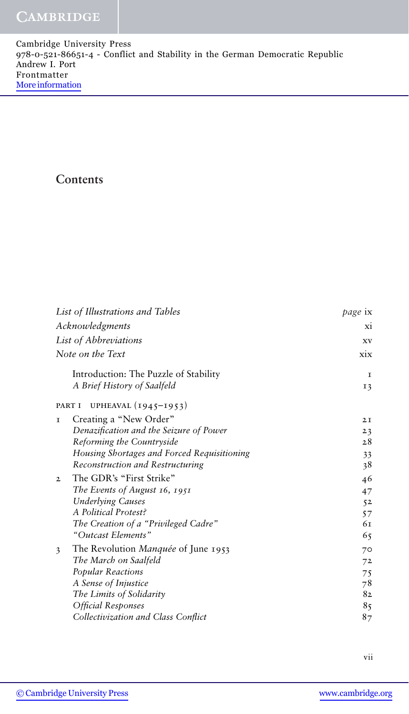| Cambridge University Press                                                   |  |
|------------------------------------------------------------------------------|--|
| 978-0-521-86651-4 - Conflict and Stability in the German Democratic Republic |  |
| Andrew I. Port                                                               |  |
| Frontmatter                                                                  |  |
| More information                                                             |  |

### **Contents**

| List of Illustrations and Tables               | page ix   |
|------------------------------------------------|-----------|
| Acknowledgments                                | <b>XI</b> |
| List of Abbreviations                          | XV        |
| Note on the Text                               | xix       |
| Introduction: The Puzzle of Stability          | I         |
| A Brief History of Saalfeld                    | 13        |
| UPHEAVAL (1945-1953)<br>PART I                 |           |
| Creating a "New Order"<br>$\mathbf{T}$         | 2I        |
| Denazification and the Seizure of Power        | 23        |
| Reforming the Countryside                      | 28        |
| Housing Shortages and Forced Requisitioning    | 33        |
| Reconstruction and Restructuring               | 38        |
| The GDR's "First Strike"<br>$\mathbf{2}$       | 46        |
| The Events of August $16, 1951$                | 47        |
| <b>Underlying Causes</b>                       | 52        |
| A Political Protest?                           | 57        |
| The Creation of a "Privileged Cadre"           | 61        |
| "Outcast Elements"                             | 65        |
| The Revolution Manquée of June 1953<br>3       | 70        |
| The March on Saalfeld                          | 72        |
| Popular Reactions                              | 75        |
| A Sense of Injustice                           | 78<br>82  |
| The Limits of Solidarity<br>Official Responses | 85        |
| Collectivization and Class Conflict            | 87        |
|                                                |           |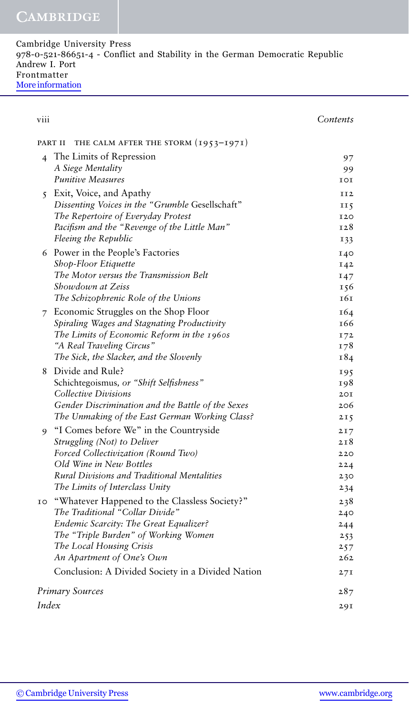#### **CAMBRIDGE**

| Cambridge University Press                                                   |  |  |
|------------------------------------------------------------------------------|--|--|
| 978-0-521-86651-4 - Conflict and Stability in the German Democratic Republic |  |  |
| Andrew I. Port                                                               |  |  |
| Frontmatter                                                                  |  |  |
| More information                                                             |  |  |

| V111                                                                                                | Contents        |
|-----------------------------------------------------------------------------------------------------|-----------------|
| THE CALM AFTER THE STORM (1953-1971)<br>PART II                                                     |                 |
| The Limits of Repression<br>$\overline{4}$                                                          | 97              |
| A Siege Mentality                                                                                   | 99              |
| <b>Punitive Measures</b>                                                                            | 101             |
| Exit, Voice, and Apathy<br>5.                                                                       | <b>II2</b>      |
| Dissenting Voices in the "Grumble Gesellschaft"                                                     | II5             |
| The Repertoire of Everyday Protest                                                                  | 120             |
| Pacifism and the "Revenge of the Little Man"                                                        | 128             |
| Fleeing the Republic                                                                                | 133             |
| 6 Power in the People's Factories                                                                   | 140             |
| Shop-Floor Etiquette                                                                                | 142             |
| The Motor versus the Transmission Belt                                                              | 147             |
| Showdown at Zeiss                                                                                   | 156             |
| The Schizophrenic Role of the Unions                                                                | 161             |
| Economic Struggles on the Shop Floor<br>7                                                           | 164             |
| Spiraling Wages and Stagnating Productivity                                                         | 166             |
| The Limits of Economic Reform in the 1960s                                                          | 172             |
| "A Real Traveling Circus"                                                                           | 178             |
| The Sick, the Slacker, and the Slovenly                                                             | 184             |
| Divide and Rule?<br>8                                                                               | 195             |
| Schichtegoismus, or "Shift Selfishness"                                                             | 198             |
| Collective Divisions                                                                                | 2O <sub>I</sub> |
| Gender Discrimination and the Battle of the Sexes<br>The Unmaking of the East German Working Class? | 206             |
|                                                                                                     | 215             |
| "I Comes before We" in the Countryside<br>9                                                         | 217             |
| Struggling (Not) to Deliver                                                                         | 218             |
| Forced Collectivization (Round Two)<br>Old Wine in New Bottles                                      | 220             |
| Rural Divisions and Traditional Mentalities                                                         | 224             |
| The Limits of Interclass Unity                                                                      | 230<br>234      |
| "Whatever Happened to the Classless Society?"                                                       |                 |
| ΙO<br>The Traditional "Collar Divide"                                                               | 238<br>240      |
| <b>Endemic Scarcity: The Great Equalizer?</b>                                                       | 244             |
| The "Triple Burden" of Working Women                                                                | 253             |
| The Local Housing Crisis                                                                            | 257             |
| An Apartment of One's Own                                                                           | 262             |
| Conclusion: A Divided Society in a Divided Nation                                                   | 271             |
| Primary Sources                                                                                     | 287             |
| Index                                                                                               | 29I             |
|                                                                                                     |                 |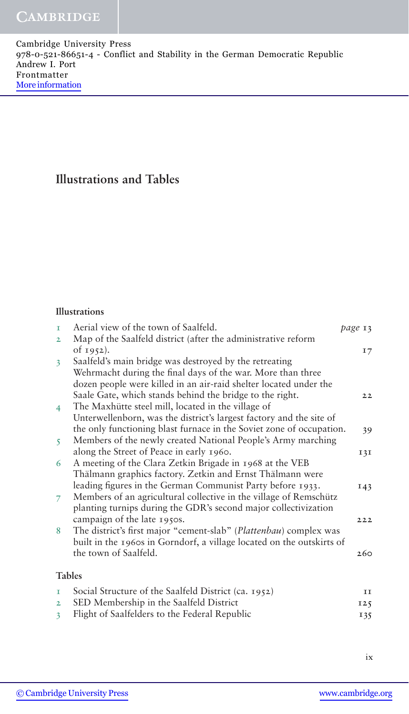## **Illustrations and Tables**

#### **Illustrations**

| T                       | Aerial view of the town of Saalfeld.                                       | page 13         |
|-------------------------|----------------------------------------------------------------------------|-----------------|
| $\overline{2}$          | Map of the Saalfeld district (after the administrative reform              |                 |
|                         | of 1952).                                                                  | 17              |
| $\overline{\mathbf{3}}$ | Saalfeld's main bridge was destroyed by the retreating                     |                 |
|                         | Wehrmacht during the final days of the war. More than three                |                 |
|                         | dozen people were killed in an air-raid shelter located under the          |                 |
|                         | Saale Gate, which stands behind the bridge to the right.                   | 22              |
| $\overline{4}$          | The Maxhütte steel mill, located in the village of                         |                 |
|                         | Unterwellenborn, was the district's largest factory and the site of        |                 |
|                         | the only functioning blast furnace in the Soviet zone of occupation.       | 39              |
| 5.                      | Members of the newly created National People's Army marching               |                 |
|                         | along the Street of Peace in early 1960.                                   | 13 <sub>1</sub> |
| 6                       | A meeting of the Clara Zetkin Brigade in 1968 at the VEB                   |                 |
|                         | Thälmann graphics factory. Zetkin and Ernst Thälmann were                  |                 |
|                         | leading figures in the German Communist Party before 1933.                 | 143             |
| $\overline{7}$          | Members of an agricultural collective in the village of Remschütz          |                 |
|                         | planting turnips during the GDR's second major collectivization            |                 |
|                         | campaign of the late 1950s.                                                | 222             |
| 8                       | The district's first major "cement-slab" ( <i>Plattenbau</i> ) complex was |                 |
|                         | built in the 1960s in Gorndorf, a village located on the outskirts of      |                 |
|                         | the town of Saalfeld.                                                      | 260             |
|                         |                                                                            |                 |
| <b>Tables</b>           |                                                                            |                 |
| T                       | Social Structure of the Saalfeld District (ca. 1952)                       | II              |
| $\overline{2}$          | SED Membership in the Saalfeld District                                    | 125             |
| 3                       | Flight of Saalfelders to the Federal Republic                              | 135             |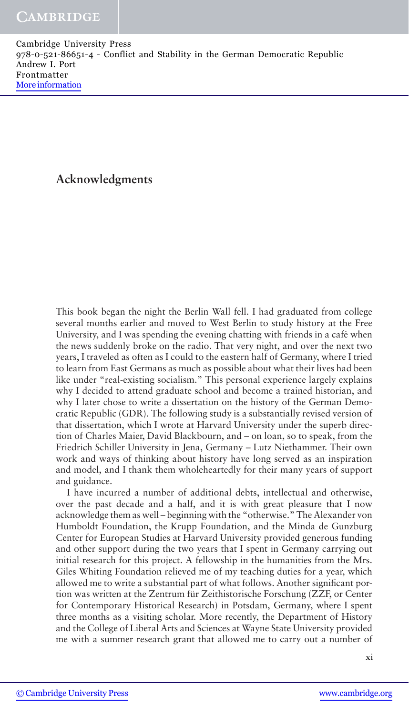#### **Acknowledgments**

This book began the night the Berlin Wall fell. I had graduated from college several months earlier and moved to West Berlin to study history at the Free University, and I was spending the evening chatting with friends in a café when the news suddenly broke on the radio. That very night, and over the next two years, I traveled as often as I could to the eastern half of Germany, where I tried to learn from East Germans as much as possible about what their lives had been like under "real-existing socialism." This personal experience largely explains why I decided to attend graduate school and become a trained historian, and why I later chose to write a dissertation on the history of the German Democratic Republic (GDR). The following study is a substantially revised version of that dissertation, which I wrote at Harvard University under the superb direction of Charles Maier, David Blackbourn, and – on loan, so to speak, from the Friedrich Schiller University in Jena, Germany – Lutz Niethammer. Their own work and ways of thinking about history have long served as an inspiration and model, and I thank them wholeheartedly for their many years of support and guidance.

I have incurred a number of additional debts, intellectual and otherwise, over the past decade and a half, and it is with great pleasure that I now acknowledge them as well – beginning with the "otherwise." The Alexander von Humboldt Foundation, the Krupp Foundation, and the Minda de Gunzburg Center for European Studies at Harvard University provided generous funding and other support during the two years that I spent in Germany carrying out initial research for this project. A fellowship in the humanities from the Mrs. Giles Whiting Foundation relieved me of my teaching duties for a year, which allowed me to write a substantial part of what follows. Another significant portion was written at the Zentrum für Zeithistorische Forschung (ZZF, or Center for Contemporary Historical Research) in Potsdam, Germany, where I spent three months as a visiting scholar. More recently, the Department of History and the College of Liberal Arts and Sciences at Wayne State University provided me with a summer research grant that allowed me to carry out a number of

xi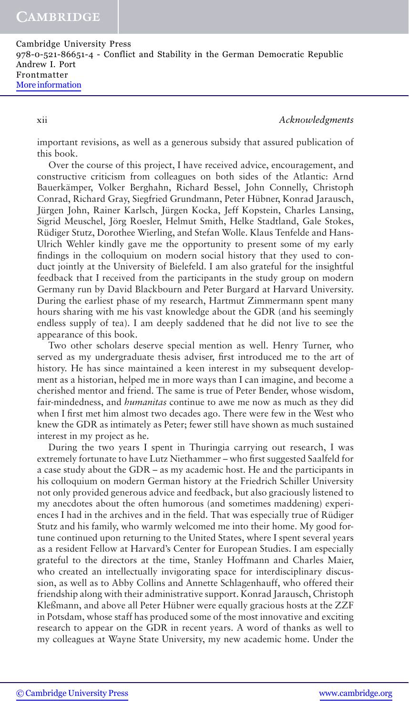xii *Acknowledgments*

important revisions, as well as a generous subsidy that assured publication of this book.

Over the course of this project, I have received advice, encouragement, and constructive criticism from colleagues on both sides of the Atlantic: Arnd Bauerkämper, Volker Berghahn, Richard Bessel, John Connelly, Christoph Conrad, Richard Gray, Siegfried Grundmann, Peter Hubner, Konrad Jarausch, ¨ Jürgen John, Rainer Karlsch, Jürgen Kocka, Jeff Kopstein, Charles Lansing, Sigrid Meuschel, Jörg Roesler, Helmut Smith, Helke Stadtland, Gale Stokes, Rüdiger Stutz, Dorothee Wierling, and Stefan Wolle. Klaus Tenfelde and Hans-Ulrich Wehler kindly gave me the opportunity to present some of my early findings in the colloquium on modern social history that they used to conduct jointly at the University of Bielefeld. I am also grateful for the insightful feedback that I received from the participants in the study group on modern Germany run by David Blackbourn and Peter Burgard at Harvard University. During the earliest phase of my research, Hartmut Zimmermann spent many hours sharing with me his vast knowledge about the GDR (and his seemingly endless supply of tea). I am deeply saddened that he did not live to see the appearance of this book.

Two other scholars deserve special mention as well. Henry Turner, who served as my undergraduate thesis adviser, first introduced me to the art of history. He has since maintained a keen interest in my subsequent development as a historian, helped me in more ways than I can imagine, and become a cherished mentor and friend. The same is true of Peter Bender, whose wisdom, fair-mindedness, and *humanitas* continue to awe me now as much as they did when I first met him almost two decades ago. There were few in the West who knew the GDR as intimately as Peter; fewer still have shown as much sustained interest in my project as he.

During the two years I spent in Thuringia carrying out research, I was extremely fortunate to have Lutz Niethammer – who first suggested Saalfeld for a case study about the GDR – as my academic host. He and the participants in his colloquium on modern German history at the Friedrich Schiller University not only provided generous advice and feedback, but also graciously listened to my anecdotes about the often humorous (and sometimes maddening) experiences I had in the archives and in the field. That was especially true of Rüdiger Stutz and his family, who warmly welcomed me into their home. My good fortune continued upon returning to the United States, where I spent several years as a resident Fellow at Harvard's Center for European Studies. I am especially grateful to the directors at the time, Stanley Hoffmann and Charles Maier, who created an intellectually invigorating space for interdisciplinary discussion, as well as to Abby Collins and Annette Schlagenhauff, who offered their friendship along with their administrative support. Konrad Jarausch, Christoph Kleßmann, and above all Peter Hübner were equally gracious hosts at the ZZF in Potsdam, whose staff has produced some of the most innovative and exciting research to appear on the GDR in recent years. A word of thanks as well to my colleagues at Wayne State University, my new academic home. Under the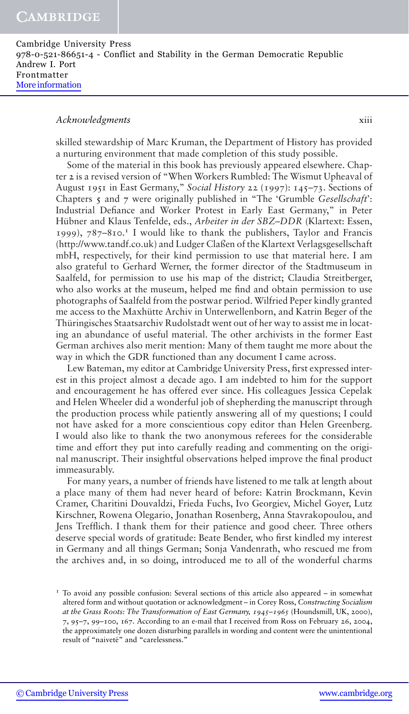#### *Acknowledgments* xiii

skilled stewardship of Marc Kruman, the Department of History has provided a nurturing environment that made completion of this study possible.

Some of the material in this book has previously appeared elsewhere. Chapter 2 is a revised version of "When Workers Rumbled: The Wismut Upheaval of August 1951 in East Germany," *Social History* 22 (1997): 145–73. Sections of Chapters 5 and 7 were originally published in "The 'Grumble *Gesellschaft*': Industrial Defiance and Worker Protest in Early East Germany," in Peter Hübner and Klaus Tenfelde, eds., *Arbeiter in der SBZ–DDR (Klartext: Essen*, 1999), 787–810. <sup>1</sup> I would like to thank the publishers, Taylor and Francis (http://www.tandf.co.uk) and Ludger Claßen of the Klartext Verlagsgesellschaft mbH, respectively, for their kind permission to use that material here. I am also grateful to Gerhard Werner, the former director of the Stadtmuseum in Saalfeld, for permission to use his map of the district; Claudia Streitberger, who also works at the museum, helped me find and obtain permission to use photographs of Saalfeld from the postwar period. Wilfried Peper kindly granted me access to the Maxhutte Archiv in Unterwellenborn, and Katrin Beger of the Thuringisches Staatsarchiv Rudolstadt went out of her way to assist me in locat- ¨ ing an abundance of useful material. The other archivists in the former East German archives also merit mention: Many of them taught me more about the way in which the GDR functioned than any document I came across.

Lew Bateman, my editor at Cambridge University Press, first expressed interest in this project almost a decade ago. I am indebted to him for the support and encouragement he has offered ever since. His colleagues Jessica Cepelak and Helen Wheeler did a wonderful job of shepherding the manuscript through the production process while patiently answering all of my questions; I could not have asked for a more conscientious copy editor than Helen Greenberg. I would also like to thank the two anonymous referees for the considerable time and effort they put into carefully reading and commenting on the original manuscript. Their insightful observations helped improve the final product immeasurably.

For many years, a number of friends have listened to me talk at length about a place many of them had never heard of before: Katrin Brockmann, Kevin Cramer, Charitini Douvaldzi, Frieda Fuchs, Ivo Georgiev, Michel Goyer, Lutz Kirschner, Rowena Olegario, Jonathan Rosenberg, Anna Stavrakopoulou, and Jens Trefflich. I thank them for their patience and good cheer. Three others deserve special words of gratitude: Beate Bender, who first kindled my interest in Germany and all things German; Sonja Vandenrath, who rescued me from the archives and, in so doing, introduced me to all of the wonderful charms

 $1$  To avoid any possible confusion: Several sections of this article also appeared – in somewhat altered form and without quotation or acknowledgment – in Corey Ross, *Constructing Socialism at the Grass Roots: The Transformation of East Germany, 1945–1965* (Houndsmill, UK, 2000), 7, 95–7, 99–100, 167. According to an e-mail that I received from Ross on February 26, 2004, the approximately one dozen disturbing parallels in wording and content were the unintentional result of "naiveté" and "carelessness."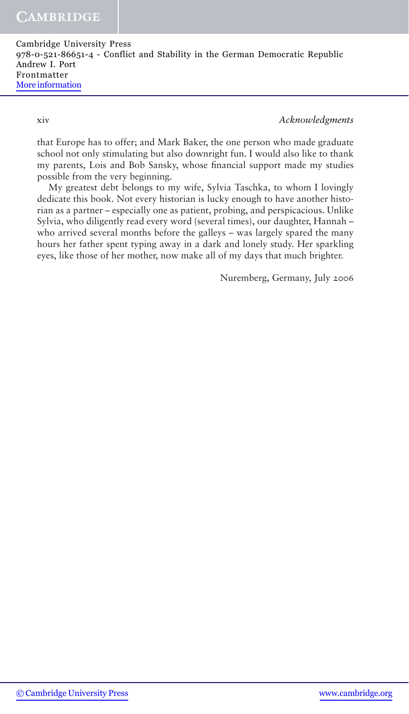xiv *Acknowledgments*

that Europe has to offer; and Mark Baker, the one person who made graduate school not only stimulating but also downright fun. I would also like to thank my parents, Lois and Bob Sansky, whose financial support made my studies possible from the very beginning.

My greatest debt belongs to my wife, Sylvia Taschka, to whom I lovingly dedicate this book. Not every historian is lucky enough to have another historian as a partner – especially one as patient, probing, and perspicacious. Unlike Sylvia, who diligently read every word (several times), our daughter, Hannah – who arrived several months before the galleys – was largely spared the many hours her father spent typing away in a dark and lonely study. Her sparkling eyes, like those of her mother, now make all of my days that much brighter.

Nuremberg, Germany, July 2006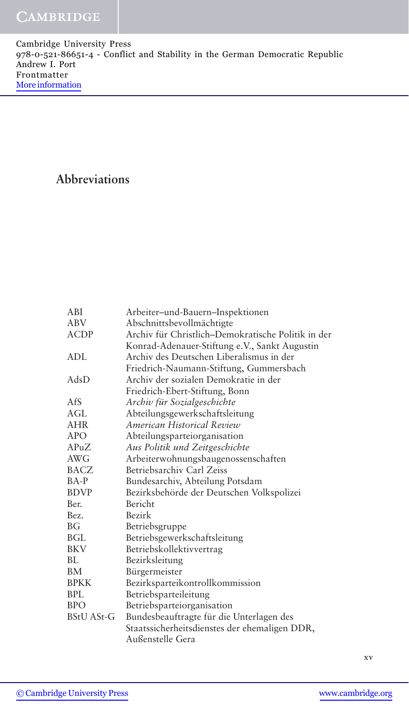## **Abbreviations**

| ABI               | Arbeiter-und-Bauern-Inspektionen                   |
|-------------------|----------------------------------------------------|
| ABV               | Abschnittsbevollmächtigte                          |
| <b>ACDP</b>       | Archiv für Christlich-Demokratische Politik in der |
|                   | Konrad-Adenauer-Stiftung e.V., Sankt Augustin      |
| ADL               | Archiv des Deutschen Liberalismus in der           |
|                   | Friedrich-Naumann-Stiftung, Gummersbach            |
| AdsD              | Archiv der sozialen Demokratie in der              |
|                   | Friedrich-Ebert-Stiftung, Bonn                     |
| AfS               | Archiv für Sozialgeschichte                        |
| AGL               | Abteilungsgewerkschaftsleitung                     |
| <b>AHR</b>        | American Historical Review                         |
| <b>APO</b>        | Abteilungsparteiorganisation                       |
| APuZ              | Aus Politik und Zeitgeschichte                     |
| AWG               | Arbeiterwohnungsbaugenossenschaften                |
| <b>BACZ</b>       | Betriebsarchiv Carl Zeiss                          |
| $BA-P$            | Bundesarchiv, Abteilung Potsdam                    |
| <b>BDVP</b>       | Bezirksbehörde der Deutschen Volkspolizei          |
| Ber.              | Bericht                                            |
| Bez.              | Bezirk                                             |
| <b>BG</b>         | Betriebsgruppe                                     |
| <b>BGL</b>        | Betriebsgewerkschaftsleitung                       |
| <b>BKV</b>        | Betriebskollektivvertrag                           |
| BL                | Bezirksleitung                                     |
| ВM                | Bürgermeister                                      |
| <b>BPKK</b>       | Bezirksparteikontrollkommission                    |
| <b>BPL</b>        | Betriebsparteileitung                              |
| <b>BPO</b>        | Betriebsparteiorganisation                         |
| <b>BStU ASt-G</b> | Bundesbeauftragte für die Unterlagen des           |
|                   | Staatssicherheitsdienstes der ehemaligen DDR,      |
|                   | Außenstelle Gera                                   |
|                   |                                                    |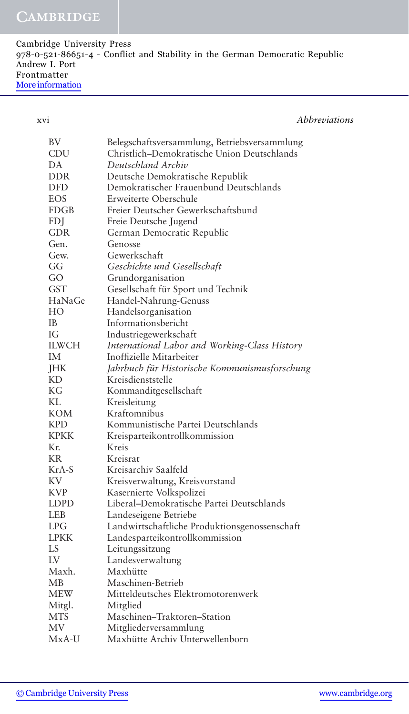#### **CAMBRIDGE**

| Cambridge University Press                                                   |  |
|------------------------------------------------------------------------------|--|
| 978-0-521-86651-4 - Conflict and Stability in the German Democratic Republic |  |
| Andrew I. Port                                                               |  |
| Frontmatter                                                                  |  |
| More information                                                             |  |

xvi *Abbreviations*

| <b>BV</b>    | Belegschaftsversammlung, Betriebsversammlung  |
|--------------|-----------------------------------------------|
| CDU          | Christlich-Demokratische Union Deutschlands   |
| DA           | Deutschland Archiv                            |
| <b>DDR</b>   | Deutsche Demokratische Republik               |
| <b>DFD</b>   | Demokratischer Frauenbund Deutschlands        |
| <b>EOS</b>   | Erweiterte Oberschule                         |
| <b>FDGB</b>  | Freier Deutscher Gewerkschaftsbund            |
| FDJ          | Freie Deutsche Jugend                         |
| <b>GDR</b>   | German Democratic Republic                    |
| Gen.         | Genosse                                       |
| Gew.         | Gewerkschaft                                  |
| GG           | Geschichte und Gesellschaft                   |
| GO           | Grundorganisation                             |
| <b>GST</b>   | Gesellschaft für Sport und Technik            |
| HaNaGe       | Handel-Nahrung-Genuss                         |
| HO           | Handelsorganisation                           |
| <b>IB</b>    | Informationsbericht                           |
| IG           | Industriegewerkschaft                         |
| <b>ILWCH</b> | International Labor and Working-Class History |
| IM           | Inoffizielle Mitarbeiter                      |
| JHK          | Jahrbuch für Historische Kommunismusforschung |
| <b>KD</b>    | Kreisdienststelle                             |
| <b>KG</b>    | Kommanditgesellschaft                         |
| KL           | Kreisleitung                                  |
| <b>KOM</b>   | Kraftomnibus                                  |
| <b>KPD</b>   | Kommunistische Partei Deutschlands            |
| <b>KPKK</b>  | Kreisparteikontrollkommission                 |
| Kr.          | Kreis                                         |
| <b>KR</b>    | Kreisrat                                      |
| KrA-S        | Kreisarchiv Saalfeld                          |
| KV           | Kreisverwaltung, Kreisvorstand                |
| <b>KVP</b>   | Kasernierte Volkspolizei                      |
| <b>LDPD</b>  | Liberal-Demokratische Partei Deutschlands     |
| <b>LEB</b>   | Landeseigene Betriebe                         |
| <b>LPG</b>   | Landwirtschaftliche Produktionsgenossenschaft |
| <b>LPKK</b>  | Landesparteikontrollkommission                |
| LS           | Leitungssitzung                               |
| LV           | Landesverwaltung                              |
| Maxh.        | Maxhütte                                      |
| MB           | Maschinen-Betrieb                             |
| <b>MEW</b>   | Mitteldeutsches Elektromotorenwerk            |
| Mitgl.       | Mitglied                                      |
| <b>MTS</b>   | Maschinen-Traktoren-Station                   |
| MV           | Mitgliederversammlung                         |
| MxA-U        | Maxhütte Archiv Unterwellenborn               |
|              |                                               |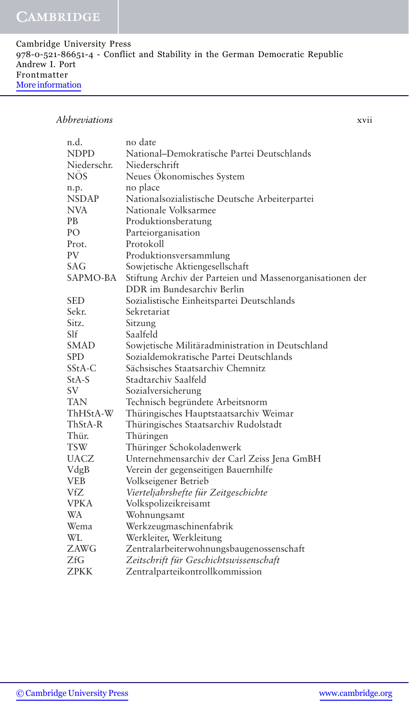| Cambridge University Press                                                   |  |
|------------------------------------------------------------------------------|--|
| 978-0-521-86651-4 - Conflict and Stability in the German Democratic Republic |  |
| Andrew I. Port                                                               |  |
| Frontmatter                                                                  |  |
| More information                                                             |  |

#### *Abbreviations* xvii

| n.d.         | no date                                                   |
|--------------|-----------------------------------------------------------|
| <b>NDPD</b>  | National-Demokratische Partei Deutschlands                |
| Niederschr.  | Niederschrift                                             |
| <b>NOS</b>   | Neues Okonomisches System                                 |
| n.p.         | no place                                                  |
| <b>NSDAP</b> | Nationalsozialistische Deutsche Arbeiterpartei            |
| <b>NVA</b>   | Nationale Volksarmee                                      |
| PB.          | Produktionsberatung                                       |
| PO           | Parteiorganisation                                        |
| Prot.        | Protokoll                                                 |
| PV           | Produktionsversammlung                                    |
| <b>SAG</b>   | Sowjetische Aktiengesellschaft                            |
| SAPMO-BA     | Stiftung Archiv der Parteien und Massenorganisationen der |
|              | DDR im Bundesarchiv Berlin                                |
| <b>SED</b>   | Sozialistische Einheitspartei Deutschlands                |
| Sekr.        | Sekretariat                                               |
| Sitz.        | Sitzung                                                   |
| SIf          | Saalfeld                                                  |
| <b>SMAD</b>  | Sowjetische Militäradministration in Deutschland          |
| <b>SPD</b>   | Sozialdemokratische Partei Deutschlands                   |
| SStA-C       | Sächsisches Staatsarchiv Chemnitz                         |
| StA-S        | Stadtarchiv Saalfeld                                      |
| SV           | Sozialversicherung                                        |
| TAN          | Technisch begründete Arbeitsnorm                          |
| ThHStA-W     | Thüringisches Hauptstaatsarchiv Weimar                    |
| ThStA-R      | Thüringisches Staatsarchiv Rudolstadt                     |
| Thür.        | Thüringen                                                 |
| <b>TSW</b>   | Thüringer Schokoladenwerk                                 |
| <b>UACZ</b>  | Unternehmensarchiv der Carl Zeiss Jena GmBH               |
| VdgB         | Verein der gegenseitigen Bauernhilfe                      |
| <b>VEB</b>   | Volkseigener Betrieb                                      |
| VfZ          | Vierteljahrshefte für Zeitgeschichte                      |
| <b>VPKA</b>  | Volkspolizeikreisamt                                      |
| <b>WA</b>    | Wohnungsamt                                               |
| Wema         | Werkzeugmaschinenfabrik                                   |
| WL           | Werkleiter, Werkleitung                                   |
| ZAWG         | Zentralarbeiterwohnungsbaugenossenschaft                  |
| ZfG          | Zeitschrift für Geschichtswissenschaft                    |
| ZPKK         | Zentralparteikontrollkommission                           |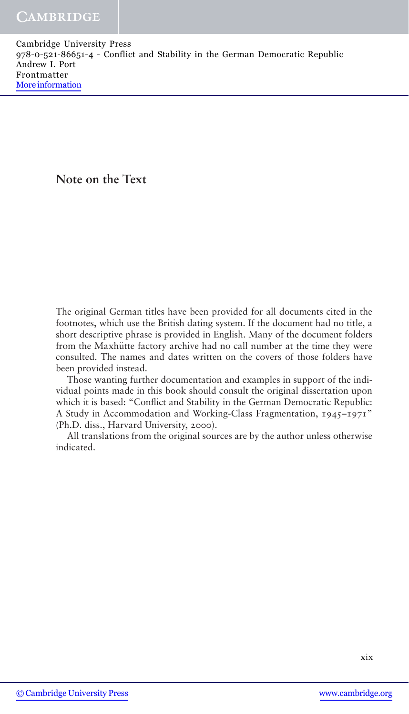**Note on the Text**

The original German titles have been provided for all documents cited in the footnotes, which use the British dating system. If the document had no title, a short descriptive phrase is provided in English. Many of the document folders from the Maxhütte factory archive had no call number at the time they were consulted. The names and dates written on the covers of those folders have been provided instead.

Those wanting further documentation and examples in support of the individual points made in this book should consult the original dissertation upon which it is based: "Conflict and Stability in the German Democratic Republic: A Study in Accommodation and Working-Class Fragmentation, 1945–1971" (Ph.D. diss., Harvard University, 2000).

All translations from the original sources are by the author unless otherwise indicated.